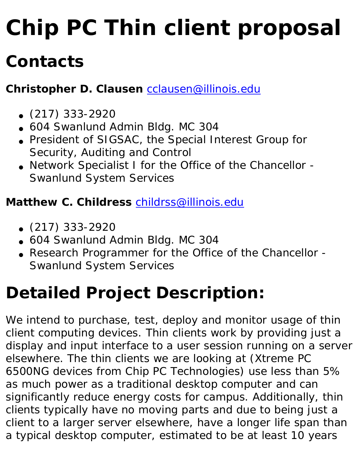# **Chip PC Thin client proposal**

### **Contacts**

**Christopher D. Clausen** [cclausen@illinois.edu](mailto:cclausen@illinois.edu)

- $\bullet$  (217) 333-2920
- 604 Swanlund Admin Bldg. MC 304
- President of SIGSAC, the Special Interest Group for Security, Auditing and Control
- Network Specialist I for the Office of the Chancellor -Swanlund System Services

#### **Matthew C. Childress** [childrss@illinois.edu](mailto:childrss@illinois.edu)

- $\bullet$  (217) 333-2920
- 604 Swanlund Admin Bldg. MC 304
- Research Programmer for the Office of the Chancellor -Swanlund System Services

### **Detailed Project Description:**

We intend to purchase, test, deploy and monitor usage of thin client computing devices. Thin clients work by providing just a display and input interface to a user session running on a server elsewhere. The thin clients we are looking at (Xtreme PC 6500NG devices from Chip PC Technologies) use less than 5% as much power as a traditional desktop computer and can significantly reduce energy costs for campus. Additionally, thin clients typically have no moving parts and due to being just a client to a larger server elsewhere, have a longer life span than a typical desktop computer, estimated to be at least 10 years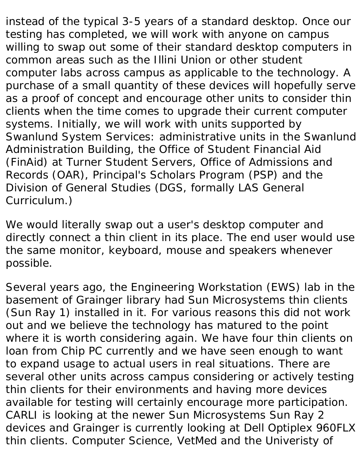instead of the typical 3-5 years of a standard desktop. Once our testing has completed, we will work with anyone on campus willing to swap out some of their standard desktop computers in common areas such as the Illini Union or other student computer labs across campus as applicable to the technology. A purchase of a small quantity of these devices will hopefully serve as a proof of concept and encourage other units to consider thin clients when the time comes to upgrade their current computer systems. Initially, we will work with units supported by Swanlund System Services: administrative units in the Swanlund Administration Building, the Office of Student Financial Aid (FinAid) at Turner Student Servers, Office of Admissions and Records (OAR), Principal's Scholars Program (PSP) and the Division of General Studies (DGS, formally LAS General Curriculum.)

We would literally swap out a user's desktop computer and directly connect a thin client in its place. The end user would use the same monitor, keyboard, mouse and speakers whenever possible.

Several years ago, the Engineering Workstation (EWS) lab in the basement of Grainger library had Sun Microsystems thin clients (Sun Ray 1) installed in it. For various reasons this did not work out and we believe the technology has matured to the point where it is worth considering again. We have four thin clients on loan from Chip PC currently and we have seen enough to want to expand usage to actual users in real situations. There are several other units across campus considering or actively testing thin clients for their environments and having more devices available for testing will certainly encourage more participation. CARLI is looking at the newer Sun Microsystems Sun Ray 2 devices and Grainger is currently looking at Dell Optiplex 960FLX thin clients. Computer Science, VetMed and the Univeristy of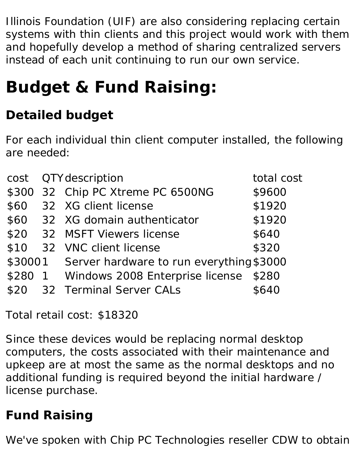Illinois Foundation (UIF) are also considering replacing certain systems with thin clients and this project would work with them and hopefully develop a method of sharing centralized servers instead of each unit continuing to run our own service.

## **Budget & Fund Raising:**

### **Detailed budget**

For each individual thin client computer installed, the following are needed:

| cost         | QTY description                                  | total cost   |
|--------------|--------------------------------------------------|--------------|
|              | \$300 32 Chip PC Xtreme PC 6500NG                | \$9600       |
| \$60         | 32 XG client license                             | \$1920       |
|              | \$60 32 XG domain authenticator                  | \$1920       |
|              | \$20 32 MSFT Viewers license                     | \$640        |
|              | \$10 32 VNC client license                       | \$320        |
|              | \$30001 Server hardware to run everything \$3000 |              |
| <b>\$280</b> | 1 Windows 2008 Enterprise license                | <b>\$280</b> |
|              | \$20 32 Terminal Server CALs                     | 8640         |

Total retail cost: \$18320

Since these devices would be replacing normal desktop computers, the costs associated with their maintenance and upkeep are at most the same as the normal desktops and no additional funding is required beyond the initial hardware / license purchase.

#### **Fund Raising**

We've spoken with Chip PC Technologies reseller CDW to obtain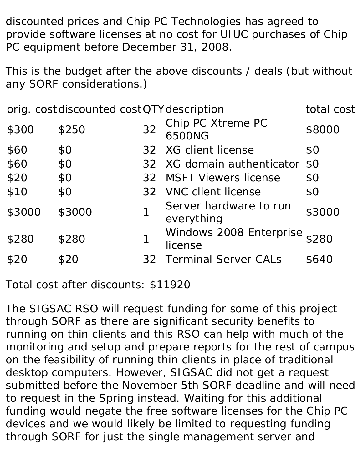discounted prices and Chip PC Technologies has agreed to provide software licenses at no cost for UIUC purchases of Chip PC equipment before December 31, 2008.

This is the budget after the above discounts / deals (but without any SORF considerations.)

|        | orig. cost discounted cost QTY description |    |                                         | total cost     |
|--------|--------------------------------------------|----|-----------------------------------------|----------------|
| \$300  | \$250                                      | 32 | Chip PC Xtreme PC<br>6500NG             | \$8000         |
| \$60   | <b>SO</b>                                  |    | 32 XG client license                    | S <sub>O</sub> |
| \$60   | \$0                                        |    | 32 XG domain authenticator \$0          |                |
| \$20   | \$0                                        |    | 32 MSFT Viewers license                 | S <sub>0</sub> |
| \$10   | \$0                                        |    | 32 VNC client license                   | S <sub>O</sub> |
| \$3000 | \$3000                                     |    | Server hardware to run<br>everything    | \$3000         |
| \$280  | <b>\$280</b>                               |    | Windows 2008 Enterprise S280<br>license |                |
| \$20   | \$20                                       |    | <b>32 Terminal Server CALs</b>          | <b>S640</b>    |
|        |                                            |    |                                         |                |

Total cost after discounts: \$11920

The SIGSAC RSO will request funding for some of this project through SORF as there are significant security benefits to running on thin clients and this RSO can help with much of the monitoring and setup and prepare reports for the rest of campus on the feasibility of running thin clients in place of traditional desktop computers. However, SIGSAC did not get a request submitted before the November 5th SORF deadline and will need to request in the Spring instead. Waiting for this additional funding would negate the free software licenses for the Chip PC devices and we would likely be limited to requesting funding through SORF for just the single management server and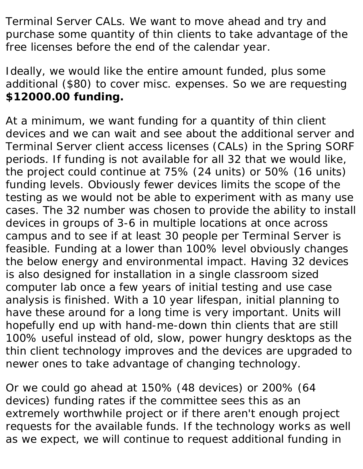Terminal Server CALs. We want to move ahead and try and purchase some quantity of thin clients to take advantage of the free licenses before the end of the calendar year.

Ideally, we would like the entire amount funded, plus some additional (\$80) to cover misc. expenses. So we are requesting **\$12000.00 funding.**

At a minimum, we want funding for a quantity of thin client devices and we can wait and see about the additional server and Terminal Server client access licenses (CALs) in the Spring SORF periods. If funding is not available for all 32 that we would like, the project could continue at 75% (24 units) or 50% (16 units) funding levels. Obviously fewer devices limits the scope of the testing as we would not be able to experiment with as many use cases. The 32 number was chosen to provide the ability to install devices in groups of 3-6 in multiple locations at once across campus and to see if at least 30 people per Terminal Server is feasible. Funding at a lower than 100% level obviously changes the below energy and environmental impact. Having 32 devices is also designed for installation in a single classroom sized computer lab once a few years of initial testing and use case analysis is finished. With a 10 year lifespan, initial planning to have these around for a long time is very important. Units will hopefully end up with hand-me-down thin clients that are still 100% useful instead of old, slow, power hungry desktops as the thin client technology improves and the devices are upgraded to newer ones to take advantage of changing technology.

Or we could go ahead at 150% (48 devices) or 200% (64 devices) funding rates if the committee sees this as an extremely worthwhile project or if there aren't enough project requests for the available funds. If the technology works as well as we expect, we will continue to request additional funding in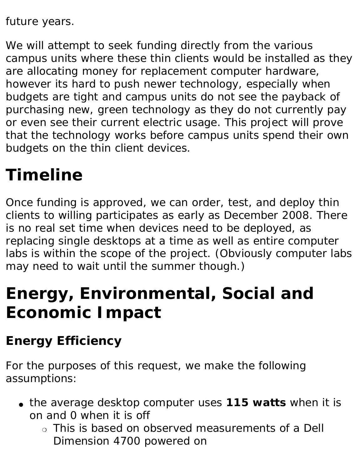future years.

We will attempt to seek funding directly from the various campus units where these thin clients would be installed as they are allocating money for replacement computer hardware, however its hard to push newer technology, especially when budgets are tight and campus units do not see the payback of purchasing new, green technology as they do not currently pay or even see their current electric usage. This project will prove that the technology works before campus units spend their own budgets on the thin client devices.

### **Timeline**

Once funding is approved, we can order, test, and deploy thin clients to willing participates as early as December 2008. There is no real set time when devices need to be deployed, as replacing single desktops at a time as well as entire computer labs is within the scope of the project. (Obviously computer labs may need to wait until the summer though.)

### **Energy, Environmental, Social and Economic Impact**

#### **Energy Efficiency**

For the purposes of this request, we make the following assumptions:

- the average desktop computer uses **115 watts** when it is on and 0 when it is off
	- ❍ *This is based on observed measurements of a Dell Dimension 4700 powered on*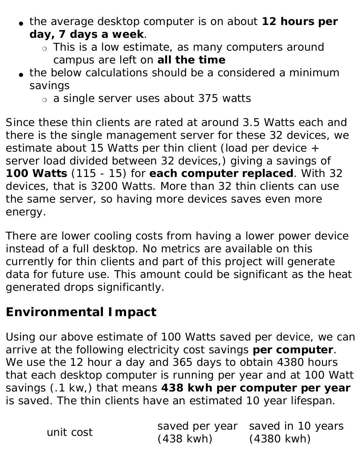- the average desktop computer is on about **12 hours per day, 7 days a week**.
	- ❍ *This is a low estimate, as many computers around campus are left on all the time*
- the below calculations should be a considered a minimum savings
	- ❍ a single server uses about 375 watts

Since these thin clients are rated at around 3.5 Watts each and there is the single management server for these 32 devices, we estimate about 15 Watts per thin client (load per device + server load divided between 32 devices,) giving a savings of **100 Watts** (115 - 15) for **each computer replaced**. With 32 devices, that is 3200 Watts. More than 32 thin clients can use the same server, so having more devices saves even more energy.

There are lower cooling costs from having a lower power device instead of a full desktop. No metrics are available on this currently for thin clients and part of this project will generate data for future use. This amount could be significant as the heat generated drops significantly.

#### **Environmental Impact**

Using our above estimate of 100 Watts saved per device, we can arrive at the following electricity cost savings **per computer**. We use the 12 hour a day and 365 days to obtain 4380 hours that each desktop computer is running per year and at 100 Watt savings (.1 kw,) that means **438 kwh per computer per year** is saved. The thin clients have an estimated 10 year lifespan.

|           |                     | saved per year saved in 10 years |
|-----------|---------------------|----------------------------------|
| unit cost | $(438 \text{ kWh})$ | $(4380 \text{ kWh})$             |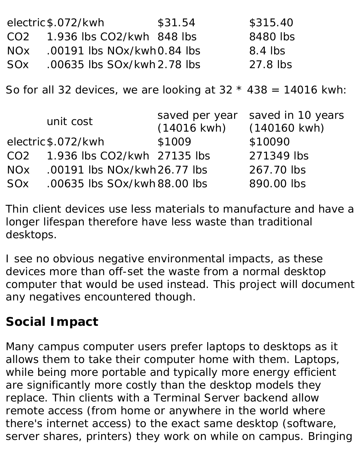|                 | electric \$.072/kwh                                              | \$31.54                                 | \$315.40                                    |
|-----------------|------------------------------------------------------------------|-----------------------------------------|---------------------------------------------|
| CO <sub>2</sub> | 1.936 lbs CO2/kwh 848 lbs                                        |                                         | 8480 lbs                                    |
| NO <sub>x</sub> | .00191 lbs $NOx/kwh0.84$ lbs                                     |                                         | 8.4 lbs                                     |
| S0x             | .00635 lbs $S0x/kwh$ 2.78 lbs                                    |                                         | 27.8 lbs                                    |
|                 | So for all 32 devices, we are looking at $32 * 438 = 14016$ kwh: |                                         |                                             |
|                 |                                                                  |                                         |                                             |
|                 | unit cost                                                        | saved per year<br>$(14016 \text{ kWh})$ | saved in 10 years<br>$(140160 \text{ kWh})$ |
|                 | electric \$.072/kwh                                              | \$1009                                  | \$10090                                     |
| CO <sub>2</sub> | 1.936 lbs CO2/kwh 27135 lbs                                      |                                         | 271349 lbs                                  |
| NOx             | .00191 lbs $N0x/kwh26.77$ lbs                                    |                                         | 267.70 lbs                                  |

Thin client devices use less materials to manufacture and have a longer lifespan therefore have less waste than traditional desktops.

I see no obvious negative environmental impacts, as these devices more than off-set the waste from a normal desktop computer that would be used instead. This project will document any negatives encountered though.

#### **Social Impact**

Many campus computer users prefer laptops to desktops as it allows them to take their computer home with them. Laptops, while being more portable and typically more energy efficient are significantly more costly than the desktop models they replace. Thin clients with a Terminal Server backend allow remote access (from home or anywhere in the world where there's internet access) to the exact same desktop (software, server shares, printers) they work on while on campus. Bringing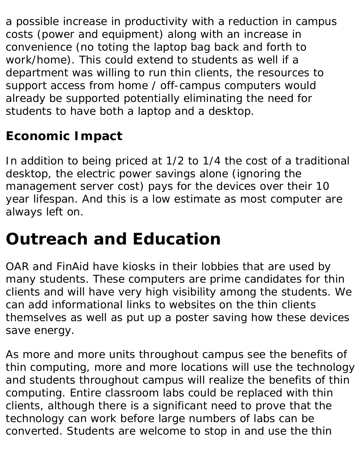a possible increase in productivity with a reduction in campus costs (power and equipment) along with an increase in convenience (no toting the laptop bag back and forth to work/home). This could extend to students as well if a department was willing to run thin clients, the resources to support access from home / off-campus computers would already be supported potentially eliminating the need for students to have both a laptop and a desktop.

### **Economic Impact**

In addition to being priced at 1/2 to 1/4 the cost of a traditional desktop, the electric power savings alone (ignoring the management server cost) pays for the devices over their 10 year lifespan. And this is a low estimate as most computer are always left on.

### **Outreach and Education**

OAR and FinAid have kiosks in their lobbies that are used by many students. These computers are prime candidates for thin clients and will have very high visibility among the students. We can add informational links to websites on the thin clients themselves as well as put up a poster saving how these devices save energy.

As more and more units throughout campus see the benefits of thin computing, more and more locations will use the technology and students throughout campus will realize the benefits of thin computing. Entire classroom labs could be replaced with thin clients, although there is a significant need to prove that the technology can work before large numbers of labs can be converted. Students are welcome to stop in and use the thin